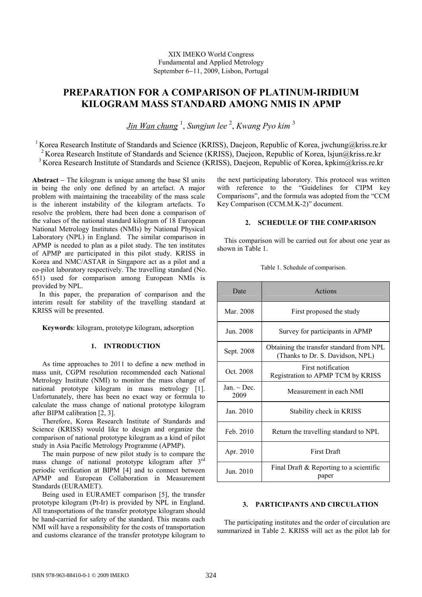XIX IMEKO World Congress Fundamental and Applied Metrology September 6−11, 2009, Lisbon, Portugal

# PREPARATION FOR A COMPARISON OF PLATINUM-IRIDIUM KILOGRAM MASS STANDARD AMONG NMIS IN APMP

Jin Wan chung <sup>1</sup>, Sungjun lee <sup>2</sup>, Kwang Pyo kim <sup>3</sup>

<sup>1</sup> Korea Research Institute of Standards and Science (KRISS), Daejeon, Republic of Korea, jwchung@kriss.re.kr <sup>2</sup> Korea Research Institute of Standards and Science (KRISS), Daejeon, Republic of Korea, lsjun@kriss.re.kr

<sup>3</sup> Korea Research Institute of Standards and Science (KRISS), Daejeon, Republic of Korea, kpkim@kriss.re.kr

Abstract − The kilogram is unique among the base SI units in being the only one defined by an artefact. A major problem with maintaining the traceability of the mass scale is the inherent instability of the kilogram artefacts. To resolve the problem, there had been done a comparison of the values of the national standard kilogram of 18 European National Metrology Institutes (NMIs) by National Physical Laboratory (NPL) in England. The similar comparison in APMP is needed to plan as a pilot study. The ten institutes of APMP are participated in this pilot study. KRISS in Korea and NMC/ASTAR in Singapore act as a pilot and a co-pilot laboratory respectively. The travelling standard (No. 651) used for comparison among European NMIs is provided by NPL.

In this paper, the preparation of comparison and the interim result for stability of the travelling standard at KRISS will be presented.

Keywords: kilogram, prototype kilogram, adsorption

# 1. INTRODUCTION

As time approaches to 2011 to define a new method in mass unit, CGPM resolution recommended each National Metrology Institute (NMI) to monitor the mass change of national prototype kilogram in mass metrology [1]. Unfortunately, there has been no exact way or formula to calculate the mass change of national prototype kilogram after BIPM calibration [2, 3].

Therefore, Korea Research Institute of Standards and Science (KRISS) would like to design and organize the comparison of national prototype kilogram as a kind of pilot study in Asia Pacific Metrology Programme (APMP).

The main purpose of new pilot study is to compare the mass change of national prototype kilogram after 3rd periodic verification at BIPM [4] and to connect between APMP and European Collaboration in Measurement Standards (EURAMET).

Being used in EURAMET comparison [5], the transfer prototype kilogram (Pt-Ir) is provided by NPL in England. All transportations of the transfer prototype kilogram should be hand-carried for safety of the standard. This means each NMI will have a responsibility for the costs of transportation and customs clearance of the transfer prototype kilogram to

the next participating laboratory. This protocol was written with reference to the "Guidelines for CIPM key Comparisons", and the formula was adopted from the "CCM Key Comparison (CCM.M.K-2)" document.

# 2. SCHEDULE OF THE COMPARISON

This comparison will be carried out for about one year as shown in Table 1.

| Date                     | Actions                                                                      |  |  |
|--------------------------|------------------------------------------------------------------------------|--|--|
| Mar. 2008                | First proposed the study                                                     |  |  |
| Jun. 2008                | Survey for participants in APMP                                              |  |  |
| Sept. 2008               | Obtaining the transfer standard from NPL<br>(Thanks to Dr. S. Davidson, NPL) |  |  |
| Oct. 2008                | First notification<br>Registration to APMP TCM by KRISS                      |  |  |
| Jan. $\sim$ Dec.<br>2009 | Measurement in each NMI                                                      |  |  |
| Jan. 2010                | Stability check in KRISS                                                     |  |  |
| Feb. 2010                | Return the travelling standard to NPL                                        |  |  |
| Apr. 2010                | <b>First Draft</b>                                                           |  |  |
| Jun. 2010                | Final Draft & Reporting to a scientific<br>paper                             |  |  |

# Table 1. Schedule of comparison.

#### 3. PARTICIPANTS AND CIRCULATION

The participating institutes and the order of circulation are summarized in Table 2. KRISS will act as the pilot lab for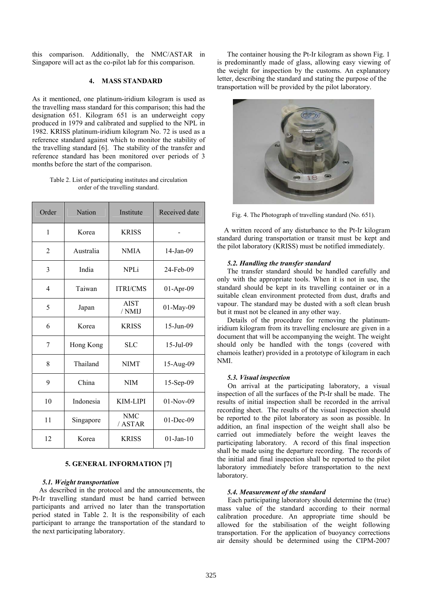this comparison. Additionally, the NMC/ASTAR in Singapore will act as the co-pilot lab for this comparison.

# 4. MASS STANDARD

As it mentioned, one platinum-iridium kilogram is used as the travelling mass standard for this comparison; this had the designation 651. Kilogram 651 is an underweight copy produced in 1979 and calibrated and supplied to the NPL in 1982. KRISS platinum-iridium kilogram No. 72 is used as a reference standard against which to monitor the stability of the travelling standard [6]. The stability of the transfer and reference standard has been monitored over periods of 3 months before the start of the comparison.

Table 2. List of participating institutes and circulation order of the travelling standard.

| Order          | <b>Nation</b> | Institute             | Received date |
|----------------|---------------|-----------------------|---------------|
| 1              | Korea         | <b>KRISS</b>          |               |
| $\overline{2}$ | Australia     | <b>NMIA</b>           | 14-Jan-09     |
| 3              | India         | <b>NPLi</b>           | 24-Feb-09     |
| 4              | Taiwan        | <b>ITRI/CMS</b>       | $01-Apr-09$   |
| 5              | Japan         | <b>AIST</b><br>/ NMIJ | 01-May-09     |
| 6              | Korea         | <b>KRISS</b>          | 15-Jun-09     |
| 7              | Hong Kong     | <b>SLC</b>            | 15-Jul-09     |
| 8              | Thailand      | <b>NIMT</b>           | 15-Aug-09     |
| 9              | China         | <b>NIM</b>            | 15-Sep-09     |
| 10             | Indonesia     | KIM-LIPI              | $01-Nov-09$   |
| 11             | Singapore     | <b>NMC</b><br>/ASTAR  | 01-Dec-09     |
| 12             | Korea         | <b>KRISS</b>          | $01$ -Jan-10  |

# 5. GENERAL INFORMATION [7]

#### 5.1. Weight transportation

As described in the protocol and the announcements, the Pt-Ir travelling standard must be hand carried between participants and arrived no later than the transportation period stated in Table 2. It is the responsibility of each participant to arrange the transportation of the standard to the next participating laboratory.

The container housing the Pt-Ir kilogram as shown Fig. 1 is predominantly made of glass, allowing easy viewing of the weight for inspection by the customs. An explanatory letter, describing the standard and stating the purpose of the transportation will be provided by the pilot laboratory.



Fig. 4. The Photograph of travelling standard (No. 651).

A written record of any disturbance to the Pt-Ir kilogram standard during transportation or transit must be kept and the pilot laboratory (KRISS) must be notified immediately.

#### 5.2. Handling the transfer standard

The transfer standard should be handled carefully and only with the appropriate tools. When it is not in use, the standard should be kept in its travelling container or in a suitable clean environment protected from dust, drafts and vapour. The standard may be dusted with a soft clean brush but it must not be cleaned in any other way.

Details of the procedure for removing the platinumiridium kilogram from its travelling enclosure are given in a document that will be accompanying the weight. The weight should only be handled with the tongs (covered with chamois leather) provided in a prototype of kilogram in each NMI.

#### 5.3. Visual inspection

On arrival at the participating laboratory, a visual inspection of all the surfaces of the Pt-Ir shall be made. The results of initial inspection shall be recorded in the arrival recording sheet. The results of the visual inspection should be reported to the pilot laboratory as soon as possible. In addition, an final inspection of the weight shall also be carried out immediately before the weight leaves the participating laboratory. A record of this final inspection shall be made using the departure recording. The records of the initial and final inspection shall be reported to the pilot laboratory immediately before transportation to the next laboratory.

## 5.4. Measurement of the standard

Each participating laboratory should determine the (true) mass value of the standard according to their normal calibration procedure. An appropriate time should be allowed for the stabilisation of the weight following transportation. For the application of buoyancy corrections air density should be determined using the CIPM-2007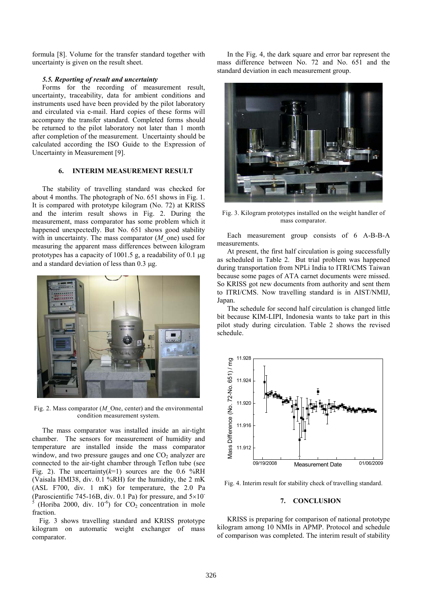formula [8]. Volume for the transfer standard together with uncertainty is given on the result sheet.

#### 5.5. Reporting of result and uncertainty

Forms for the recording of measurement result, uncertainty, traceability, data for ambient conditions and instruments used have been provided by the pilot laboratory and circulated via e-mail. Hard copies of these forms will accompany the transfer standard. Completed forms should be returned to the pilot laboratory not later than 1 month after completion of the measurement. Uncertainty should be calculated according the ISO Guide to the Expression of Uncertainty in Measurement [9].

## 6. INTERIM MEASUREMENT RESULT

The stability of travelling standard was checked for about 4 months. The photograph of No. 651 shows in Fig. 1. It is compared with prototype kilogram (No. 72) at KRISS and the interim result shows in Fig. 2. During the measurement, mass comparator has some problem which it happened unexpectedly. But No. 651 shows good stability with in uncertainty. The mass comparator  $(M_0$  one) used for measuring the apparent mass differences between kilogram prototypes has a capacity of 1001.5 g, a readability of 0.1  $\mu$ g and a standard deviation of less than 0.3 µg.



Fig. 2. Mass comparator  $(M$  One, center) and the environmental condition measurement system.

The mass comparator was installed inside an air-tight chamber. The sensors for measurement of humidity and temperature are installed inside the mass comparator window, and two pressure gauges and one  $CO<sub>2</sub>$  analyzer are connected to the air-tight chamber through Teflon tube (see Fig. 2). The uncertainty( $k=1$ ) sources are the 0.6 %RH (Vaisala HMI38, div. 0.1 %RH) for the humidity, the 2 mK (ASL F700, div. 1 mK) for temperature, the 2.0 Pa (Paroscientific 745-16B, div. 0.1 Pa) for pressure, and  $5\times10^{-1}$ 5 (Horiba 2000, div.  $10^{-6}$ ) for  $CO_2$  concentration in mole fraction.

Fig. 3 shows travelling standard and KRISS prototype kilogram on automatic weight exchanger of mass comparator.

In the Fig. 4, the dark square and error bar represent the mass difference between No. 72 and No. 651 and the standard deviation in each measurement group.



Fig. 3. Kilogram prototypes installed on the weight handler of mass comparator.

Each measurement group consists of 6 A-B-B-A measurements.

At present, the first half circulation is going successfully as scheduled in Table 2. But trial problem was happened during transportation from NPLi India to ITRI/CMS Taiwan because some pages of ATA carnet documents were missed. So KRISS got new documents from authority and sent them to ITRI/CMS. Now travelling standard is in AIST/NMIJ, Japan.

The schedule for second half circulation is changed little bit because KIM-LIPI, Indonesia wants to take part in this pilot study during circulation. Table 2 shows the revised schedule.



Fig. 4. Interim result for stability check of travelling standard.

# 7. CONCLUSION

KRISS is preparing for comparison of national prototype kilogram among 10 NMIs in APMP. Protocol and schedule of comparison was completed. The interim result of stability